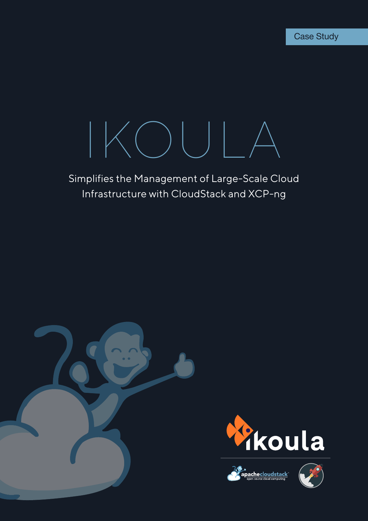# IKOULA

# Simplifies the Management of Large-Scale Cloud Infrastructure with CloudStack and XCP-ng







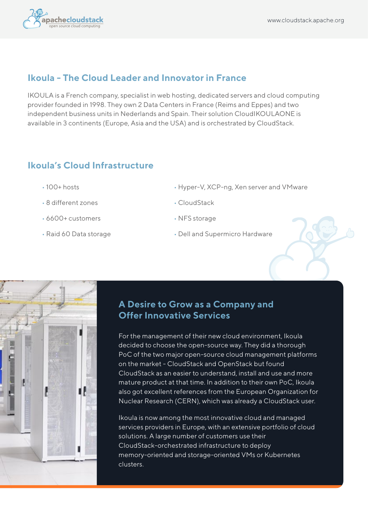

#### **Ikoula - The Cloud Leader and Innovator in France**

IKOULA is a French company, specialist in web hosting, dedicated servers and cloud computing provider founded in 1998. They own 2 Data Centers in France (Reims and Eppes) and two independent business units in Nederlands and Spain. Their solution CloudIKOULAONE is available in 3 continents (Europe, Asia and the USA) and is orchestrated by CloudStack.

# **Ikoula's Cloud Infrastructure**

- 100+ hosts
- 8 different zones
- 6600+ customers
- Raid 60 Data storage
- Hyper-V, XCP-ng, Xen server and VMware
- CloudStack
- NFS storage
- Dell and Supermicro Hardware



#### **A Desire to Grow as a Company and Offer Innovative Services**

For the management of their new cloud environment, Ikoula decided to choose the open-source way. They did a thorough PoC of the two major open-source cloud management platforms on the market - CloudStack and OpenStack but found CloudStack as an easier to understand, install and use and more mature product at that time. In addition to their own PoC, Ikoula also got excellent references from the European Organization for Nuclear Research (CERN), which was already a CloudStack user.

Ikoula is now among the most innovative cloud and managed services providers in Europe, with an extensive portfolio of cloud solutions. A large number of customers use their CloudStack-orchestrated infrastructure to deploy memory-oriented and storage-oriented VMs or Kubernetes clusters.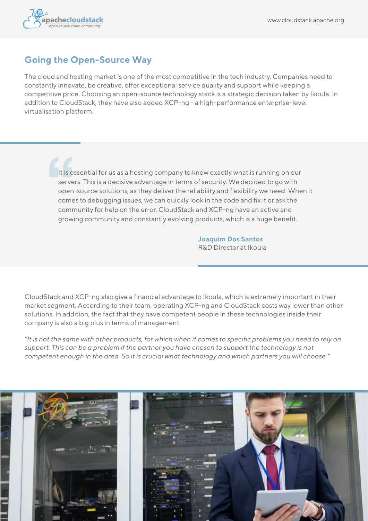

#### **Going the Open-Source Way**

The cloud and hosting market is one of the most competitive in the tech industry. Companies need to constantly innovate, be creative, offer exceptional service quality and support while keeping a competitive price. Choosing an open-source technology stack is a strategic decision taken by Ikoula. In addition to CloudStack, they have also added XCP-ng - a high-performance enterprise-level virtualisation platform.

> It is essential for us as a hosting company to know exactly what is running on our servers. This is a decisive advantage in terms of security. We decided to go with open-source solutions, as they deliver the reliability and flexibility we need. When it comes to debugging issues, we can quickly look in the code and fix it or ask the community for help on the error. CloudStack and XCP-ng have an active and growing community and constantly evolving products, which is a huge benefit.

> > **Joaquim Dos Santos** R&D Director at Ikoula

CloudStack and XCP-ng also give a financial advantage to Ikoula, which is extremely important in their market segment. According to their team, operating XCP-ng and CloudStack costs way lower than other solutions. In addition, the fact that they have competent people in these technologies inside their company is also a big plus in terms of management.

*"It is not the same with other products, for which when it comes to specific problems you need to rely on support. This can be a problem if the partner you have chosen to support the technology is not competent enough in the area. So it is crucial what technology and which partners you will choose."*

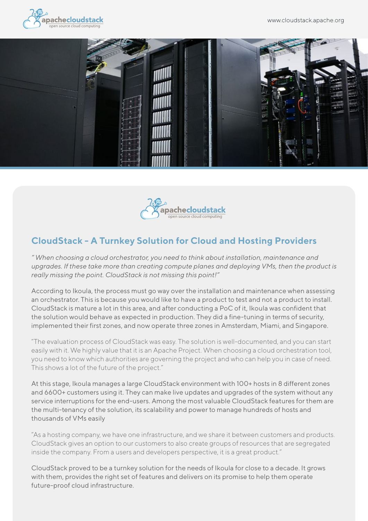





# **CloudStack - A Turnkey Solution for Cloud and Hosting Providers**

*" When choosing a cloud orchestrator, you need to think about installation, maintenance and upgrades. If these take more than creating compute planes and deploying VMs, then the product is really missing the point. CloudStack is not missing this point!"*

According to Ikoula, the process must go way over the installation and maintenance when assessing an orchestrator. This is because you would like to have a product to test and not a product to install. CloudStack is mature a lot in this area, and after conducting a PoC of it, Ikoula was confident that the solution would behave as expected in production. They did a fine-tuning in terms of security, implemented their first zones, and now operate three zones in Amsterdam, Miami, and Singapore.

"The evaluation process of CloudStack was easy. The solution is well-documented, and you can start easily with it. We highly value that it is an Apache Project. When choosing a cloud orchestration tool, you need to know which authorities are governing the project and who can help you in case of need. This shows a lot of the future of the project."

At this stage, Ikoula manages a large CloudStack environment with 100+ hosts in 8 different zones and 6600+ customers using it. They can make live updates and upgrades of the system without any service interruptions for the end-users. Among the most valuable CloudStack features for them are the multi-tenancy of the solution, its scalability and power to manage hundreds of hosts and thousands of VMs easily

"As a hosting company, we have one infrastructure, and we share it between customers and products. CloudStack gives an option to our customers to also create groups of resources that are segregated inside the company. From a users and developers perspective, it is a great product."

CloudStack proved to be a turnkey solution for the needs of Ikoula for close to a decade. It grows with them, provides the right set of features and delivers on its promise to help them operate future-proof cloud infrastructure.